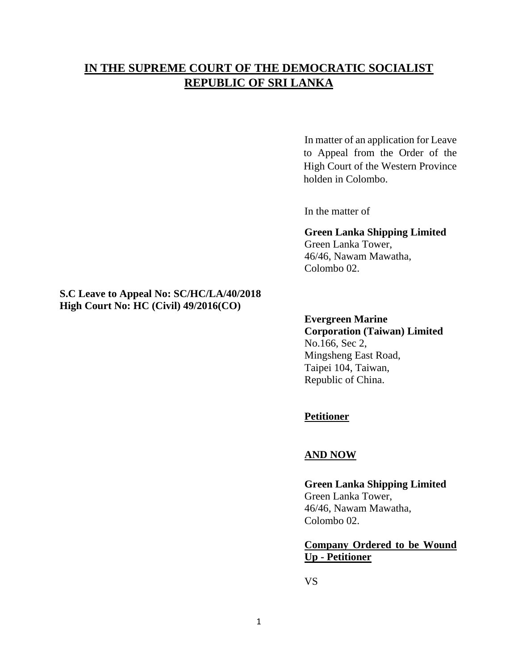# **IN THE SUPREME COURT OF THE DEMOCRATIC SOCIALIST REPUBLIC OF SRI LANKA**

In matter of an application for Leave to Appeal from the Order of the High Court of the Western Province holden in Colombo.

In the matter of

### **Green Lanka Shipping Limited** Green Lanka Tower,

46/46, Nawam Mawatha, Colombo 02.

## **S.C Leave to Appeal No: SC/HC/LA/40/2018 High Court No: HC (Civil) 49/2016(CO)**

# **Evergreen Marine Corporation (Taiwan) Limited**  No.166, Sec 2, Mingsheng East Road, Taipei 104, Taiwan, Republic of China.

# **Petitioner**

## **AND NOW**

## **Green Lanka Shipping Limited** Green Lanka Tower, 46/46, Nawam Mawatha, Colombo 02.

## **Company Ordered to be Wound Up - Petitioner**

VS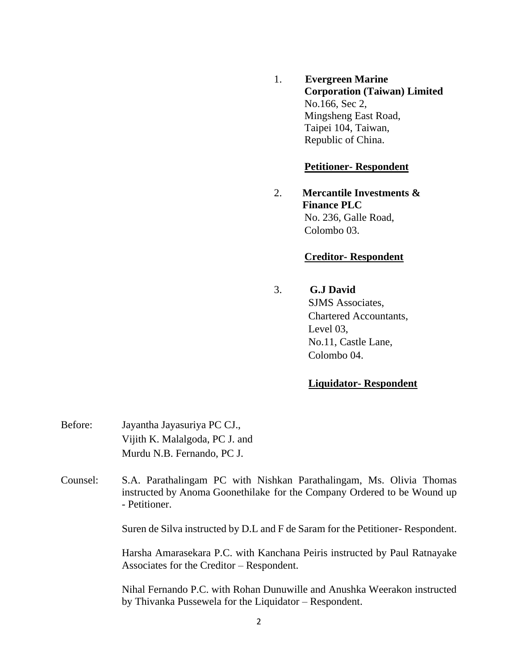1. **Evergreen Marine Corporation (Taiwan) Limited**  No.166, Sec 2, Mingsheng East Road, Taipei 104, Taiwan, Republic of China.

## **Petitioner- Respondent**

2. **Mercantile Investments & Finance PLC** No. 236, Galle Road, Colombo 03.

## **Creditor- Respondent**

3. **G.J David**

SJMS Associates, Chartered Accountants, Level 03, No.11, Castle Lane, Colombo 04.

## **Liquidator- Respondent**

- Before: Jayantha Jayasuriya PC CJ., Vijith K. Malalgoda, PC J. and Murdu N.B. Fernando, PC J.
- Counsel: S.A. Parathalingam PC with Nishkan Parathalingam, Ms. Olivia Thomas instructed by Anoma Goonethilake for the Company Ordered to be Wound up - Petitioner.

Suren de Silva instructed by D.L and F de Saram for the Petitioner- Respondent.

Harsha Amarasekara P.C. with Kanchana Peiris instructed by Paul Ratnayake Associates for the Creditor – Respondent.

Nihal Fernando P.C. with Rohan Dunuwille and Anushka Weerakon instructed by Thivanka Pussewela for the Liquidator – Respondent.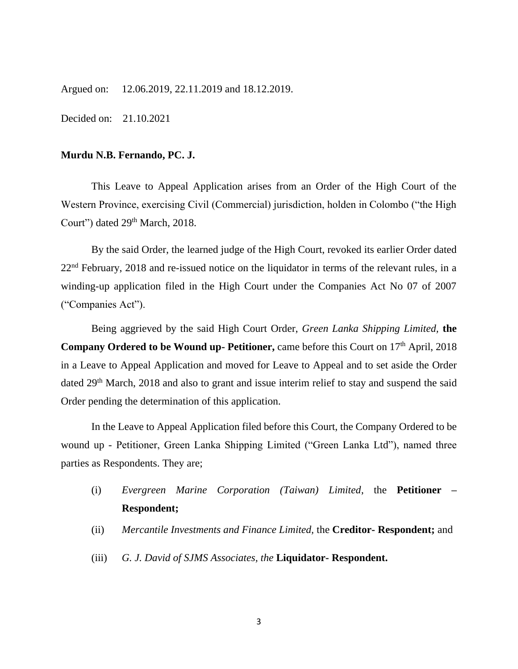Argued on: 12.06.2019, 22.11.2019 and 18.12.2019.

Decided on: 21.10.2021

#### **Murdu N.B. Fernando, PC. J.**

This Leave to Appeal Application arises from an Order of the High Court of the Western Province, exercising Civil (Commercial) jurisdiction, holden in Colombo ("the High Court") dated 29<sup>th</sup> March, 2018.

By the said Order, the learned judge of the High Court, revoked its earlier Order dated  $22<sup>nd</sup>$  February, 2018 and re-issued notice on the liquidator in terms of the relevant rules, in a winding-up application filed in the High Court under the Companies Act No 07 of 2007 ("Companies Act").

Being aggrieved by the said High Court Order, *Green Lanka Shipping Limited,* **the Company Ordered to be Wound up- Petitioner, came before this Court on 17<sup>th</sup> April, 2018** in a Leave to Appeal Application and moved for Leave to Appeal and to set aside the Order dated 29<sup>th</sup> March, 2018 and also to grant and issue interim relief to stay and suspend the said Order pending the determination of this application.

In the Leave to Appeal Application filed before this Court, the Company Ordered to be wound up - Petitioner, Green Lanka Shipping Limited ("Green Lanka Ltd"), named three parties as Respondents. They are;

- (i) *Evergreen Marine Corporation (Taiwan) Limited*, the **Petitioner – Respondent;**
- (ii) *Mercantile Investments and Finance Limited,* the **Creditor- Respondent;** and
- (iii) *G. J. David of SJMS Associates, the* **Liquidator- Respondent.**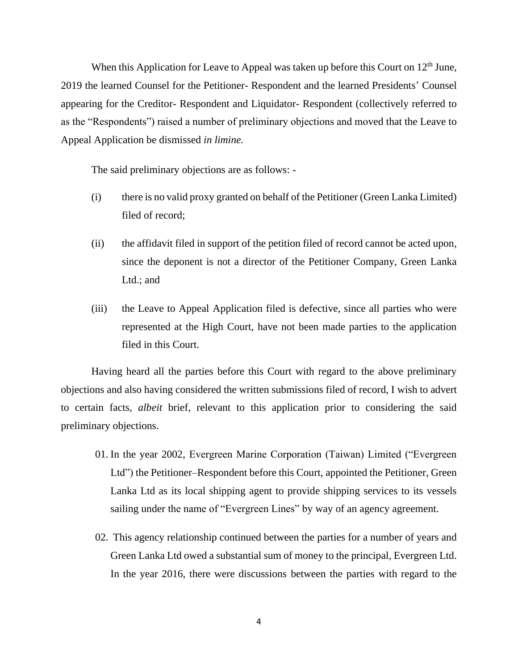When this Application for Leave to Appeal was taken up before this Court on  $12<sup>th</sup>$  June, 2019 the learned Counsel for the Petitioner- Respondent and the learned Presidents' Counsel appearing for the Creditor- Respondent and Liquidator- Respondent (collectively referred to as the "Respondents") raised a number of preliminary objections and moved that the Leave to Appeal Application be dismissed *in limine.* 

The said preliminary objections are as follows: -

- (i) there is no valid proxy granted on behalf of the Petitioner (Green Lanka Limited) filed of record;
- (ii) the affidavit filed in support of the petition filed of record cannot be acted upon, since the deponent is not a director of the Petitioner Company, Green Lanka Ltd.; and
- (iii) the Leave to Appeal Application filed is defective, since all parties who were represented at the High Court, have not been made parties to the application filed in this Court.

Having heard all the parties before this Court with regard to the above preliminary objections and also having considered the written submissions filed of record, I wish to advert to certain facts, *albeit* brief, relevant to this application prior to considering the said preliminary objections.

- 01. In the year 2002, Evergreen Marine Corporation (Taiwan) Limited ("Evergreen Ltd") the Petitioner–Respondent before this Court, appointed the Petitioner, Green Lanka Ltd as its local shipping agent to provide shipping services to its vessels sailing under the name of "Evergreen Lines" by way of an agency agreement.
- 02. This agency relationship continued between the parties for a number of years and Green Lanka Ltd owed a substantial sum of money to the principal, Evergreen Ltd. In the year 2016, there were discussions between the parties with regard to the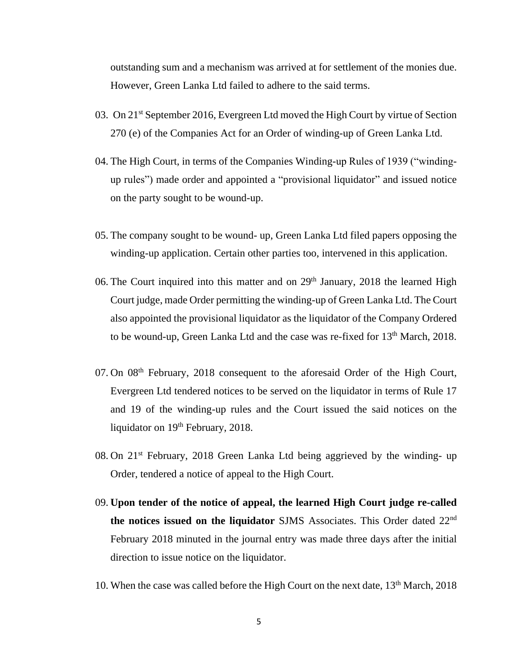outstanding sum and a mechanism was arrived at for settlement of the monies due. However, Green Lanka Ltd failed to adhere to the said terms.

- 03. On 21st September 2016, Evergreen Ltd moved the High Court by virtue of Section 270 (e) of the Companies Act for an Order of winding-up of Green Lanka Ltd.
- 04. The High Court, in terms of the Companies Winding-up Rules of 1939 ("windingup rules") made order and appointed a "provisional liquidator" and issued notice on the party sought to be wound-up.
- 05. The company sought to be wound- up, Green Lanka Ltd filed papers opposing the winding-up application. Certain other parties too, intervened in this application.
- 06. The Court inquired into this matter and on 29<sup>th</sup> January, 2018 the learned High Court judge, made Order permitting the winding-up of Green Lanka Ltd. The Court also appointed the provisional liquidator as the liquidator of the Company Ordered to be wound-up, Green Lanka Ltd and the case was re-fixed for  $13<sup>th</sup>$  March, 2018.
- 07. On 08<sup>th</sup> February, 2018 consequent to the aforesaid Order of the High Court, Evergreen Ltd tendered notices to be served on the liquidator in terms of Rule 17 and 19 of the winding-up rules and the Court issued the said notices on the liquidator on 19<sup>th</sup> February, 2018.
- 08. On 21st February, 2018 Green Lanka Ltd being aggrieved by the winding- up Order, tendered a notice of appeal to the High Court.
- 09. **Upon tender of the notice of appeal, the learned High Court judge re-called the notices issued on the liquidator** SJMS Associates. This Order dated 22nd February 2018 minuted in the journal entry was made three days after the initial direction to issue notice on the liquidator.
- 10. When the case was called before the High Court on the next date,  $13<sup>th</sup>$  March, 2018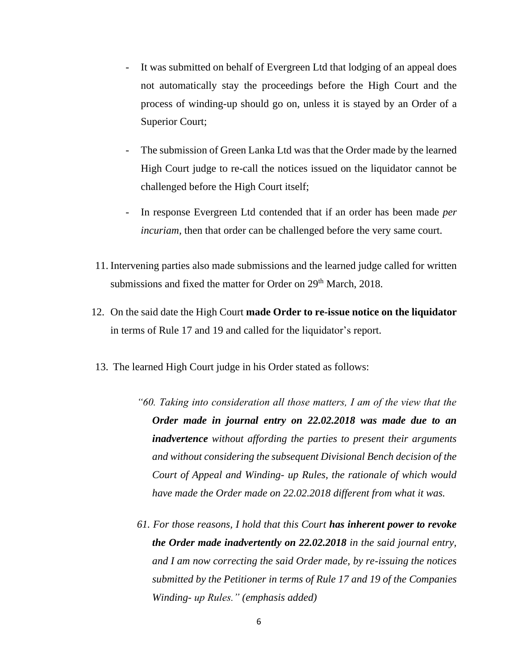- It was submitted on behalf of Evergreen Ltd that lodging of an appeal does not automatically stay the proceedings before the High Court and the process of winding-up should go on, unless it is stayed by an Order of a Superior Court;
- The submission of Green Lanka Ltd was that the Order made by the learned High Court judge to re-call the notices issued on the liquidator cannot be challenged before the High Court itself;
- In response Evergreen Ltd contended that if an order has been made *per incuriam,* then that order can be challenged before the very same court.
- 11. Intervening parties also made submissions and the learned judge called for written submissions and fixed the matter for Order on 29<sup>th</sup> March, 2018.
- 12. On the said date the High Court **made Order to re-issue notice on the liquidator** in terms of Rule 17 and 19 and called for the liquidator's report.
- 13. The learned High Court judge in his Order stated as follows:
	- *"60. Taking into consideration all those matters, I am of the view that the Order made in journal entry on 22.02.2018 was made due to an inadvertence without affording the parties to present their arguments and without considering the subsequent Divisional Bench decision of the Court of Appeal and Winding- up Rules, the rationale of which would have made the Order made on 22.02.2018 different from what it was.*
	- *61. For those reasons, I hold that this Court has inherent power to revoke the Order made inadvertently on 22.02.2018 in the said journal entry, and I am now correcting the said Order made, by re-issuing the notices submitted by the Petitioner in terms of Rule 17 and 19 of the Companies Winding- up Rules." (emphasis added)*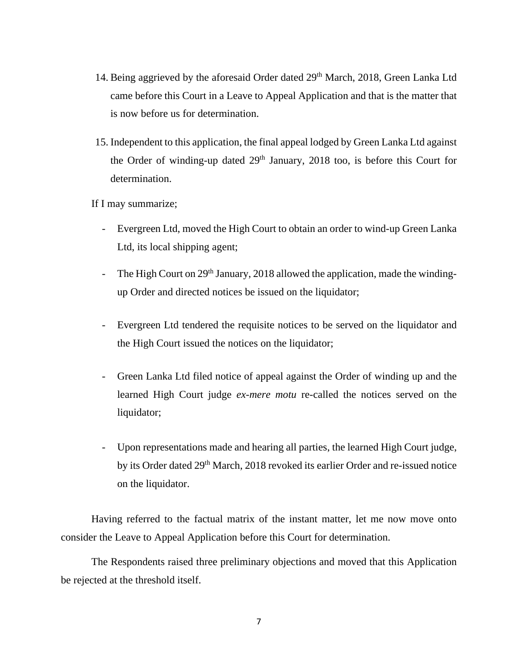- 14. Being aggrieved by the aforesaid Order dated 29<sup>th</sup> March, 2018, Green Lanka Ltd came before this Court in a Leave to Appeal Application and that is the matter that is now before us for determination.
- 15. Independent to this application, the final appeal lodged by Green Lanka Ltd against the Order of winding-up dated  $29<sup>th</sup>$  January,  $2018$  too, is before this Court for determination.

If I may summarize;

- Evergreen Ltd, moved the High Court to obtain an order to wind-up Green Lanka Ltd, its local shipping agent;
- The High Court on  $29<sup>th</sup>$  January, 2018 allowed the application, made the windingup Order and directed notices be issued on the liquidator;
- Evergreen Ltd tendered the requisite notices to be served on the liquidator and the High Court issued the notices on the liquidator;
- Green Lanka Ltd filed notice of appeal against the Order of winding up and the learned High Court judge *ex-mere motu* re-called the notices served on the liquidator;
- Upon representations made and hearing all parties, the learned High Court judge, by its Order dated 29th March, 2018 revoked its earlier Order and re-issued notice on the liquidator.

Having referred to the factual matrix of the instant matter, let me now move onto consider the Leave to Appeal Application before this Court for determination.

The Respondents raised three preliminary objections and moved that this Application be rejected at the threshold itself.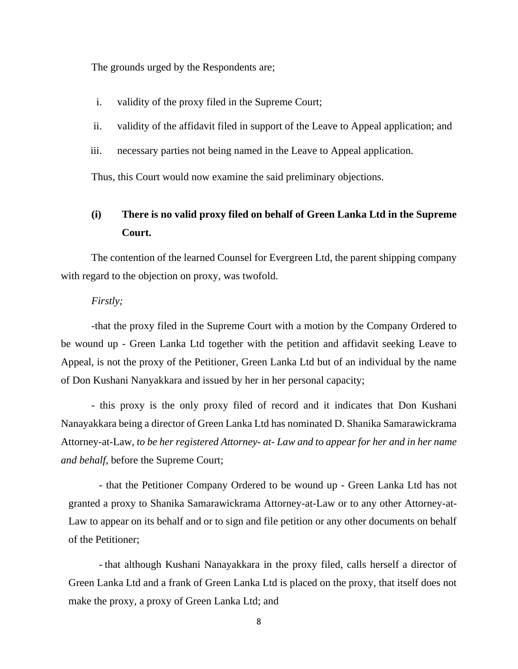The grounds urged by the Respondents are;

- i. validity of the proxy filed in the Supreme Court;
- ii. validity of the affidavit filed in support of the Leave to Appeal application; and
- iii. necessary parties not being named in the Leave to Appeal application.

Thus, this Court would now examine the said preliminary objections.

# **(i) There is no valid proxy filed on behalf of Green Lanka Ltd in the Supreme Court.**

The contention of the learned Counsel for Evergreen Ltd, the parent shipping company with regard to the objection on proxy, was twofold.

#### *Firstly;*

-that the proxy filed in the Supreme Court with a motion by the Company Ordered to be wound up - Green Lanka Ltd together with the petition and affidavit seeking Leave to Appeal, is not the proxy of the Petitioner, Green Lanka Ltd but of an individual by the name of Don Kushani Nanyakkara and issued by her in her personal capacity;

- this proxy is the only proxy filed of record and it indicates that Don Kushani Nanayakkara being a director of Green Lanka Ltd has nominated D. Shanika Samarawickrama Attorney-at-Law, *to be her registered Attorney- at- Law and to appear for her and in her name and behalf,* before the Supreme Court;

- that the Petitioner Company Ordered to be wound up - Green Lanka Ltd has not granted a proxy to Shanika Samarawickrama Attorney-at-Law or to any other Attorney-at-Law to appear on its behalf and or to sign and file petition or any other documents on behalf of the Petitioner;

- that although Kushani Nanayakkara in the proxy filed, calls herself a director of Green Lanka Ltd and a frank of Green Lanka Ltd is placed on the proxy, that itself does not make the proxy, a proxy of Green Lanka Ltd; and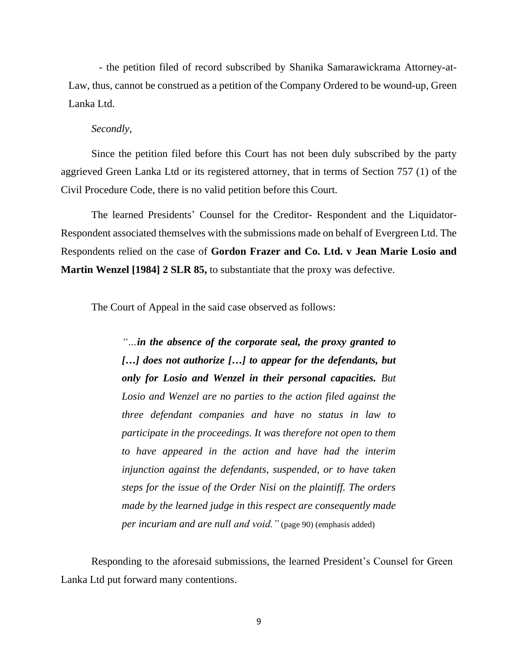- the petition filed of record subscribed by Shanika Samarawickrama Attorney-at-Law, thus, cannot be construed as a petition of the Company Ordered to be wound-up, Green Lanka Ltd.

#### *Secondly*,

Since the petition filed before this Court has not been duly subscribed by the party aggrieved Green Lanka Ltd or its registered attorney, that in terms of Section 757 (1) of the Civil Procedure Code, there is no valid petition before this Court.

The learned Presidents' Counsel for the Creditor- Respondent and the Liquidator-Respondent associated themselves with the submissions made on behalf of Evergreen Ltd. The Respondents relied on the case of **Gordon Frazer and Co. Ltd. v Jean Marie Losio and Martin Wenzel [1984] 2 SLR 85,** to substantiate that the proxy was defective.

The Court of Appeal in the said case observed as follows:

*"…in the absence of the corporate seal, the proxy granted to […] does not authorize […] to appear for the defendants, but only for Losio and Wenzel in their personal capacities. But Losio and Wenzel are no parties to the action filed against the three defendant companies and have no status in law to participate in the proceedings. It was therefore not open to them to have appeared in the action and have had the interim injunction against the defendants, suspended, or to have taken steps for the issue of the Order Nisi on the plaintiff. The orders made by the learned judge in this respect are consequently made per incuriam and are null and void."* (page 90) (emphasis added)

Responding to the aforesaid submissions, the learned President's Counsel for Green Lanka Ltd put forward many contentions.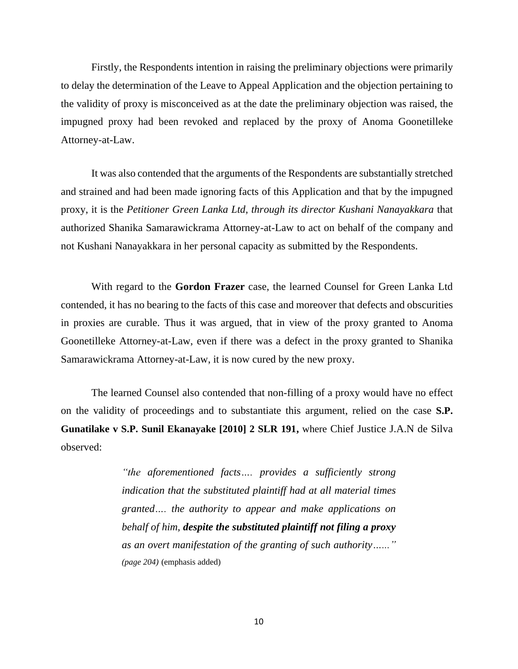Firstly, the Respondents intention in raising the preliminary objections were primarily to delay the determination of the Leave to Appeal Application and the objection pertaining to the validity of proxy is misconceived as at the date the preliminary objection was raised, the impugned proxy had been revoked and replaced by the proxy of Anoma Goonetilleke Attorney-at-Law.

It was also contended that the arguments of the Respondents are substantially stretched and strained and had been made ignoring facts of this Application and that by the impugned proxy, it is the *Petitioner Green Lanka Ltd, through its director Kushani Nanayakkara* that authorized Shanika Samarawickrama Attorney-at-Law to act on behalf of the company and not Kushani Nanayakkara in her personal capacity as submitted by the Respondents.

With regard to the **Gordon Frazer** case, the learned Counsel for Green Lanka Ltd contended, it has no bearing to the facts of this case and moreover that defects and obscurities in proxies are curable. Thus it was argued, that in view of the proxy granted to Anoma Goonetilleke Attorney-at-Law, even if there was a defect in the proxy granted to Shanika Samarawickrama Attorney-at-Law, it is now cured by the new proxy.

The learned Counsel also contended that non-filling of a proxy would have no effect on the validity of proceedings and to substantiate this argument, relied on the case **S.P. Gunatilake v S.P. Sunil Ekanayake [2010] 2 SLR 191,** where Chief Justice J.A.N de Silva observed:

> *"the aforementioned facts…. provides a sufficiently strong indication that the substituted plaintiff had at all material times granted…. the authority to appear and make applications on behalf of him, despite the substituted plaintiff not filing a proxy as an overt manifestation of the granting of such authority…..." (page 204)* (emphasis added)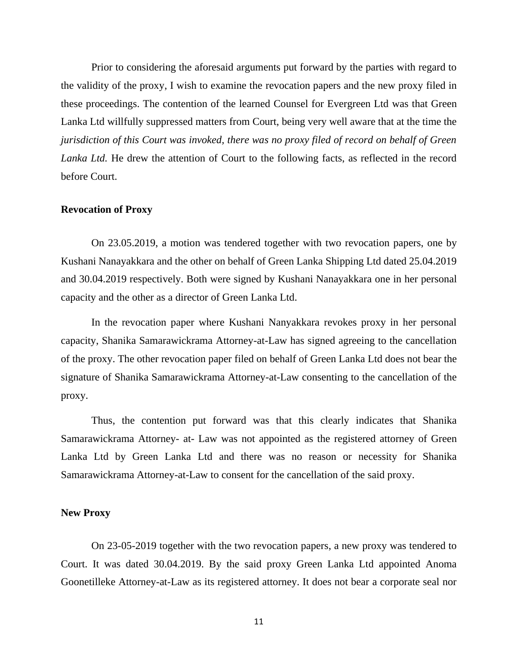Prior to considering the aforesaid arguments put forward by the parties with regard to the validity of the proxy, I wish to examine the revocation papers and the new proxy filed in these proceedings. The contention of the learned Counsel for Evergreen Ltd was that Green Lanka Ltd willfully suppressed matters from Court, being very well aware that at the time the *jurisdiction of this Court was invoked, there was no proxy filed of record on behalf of Green Lanka Ltd.* He drew the attention of Court to the following facts, as reflected in the record before Court.

#### **Revocation of Proxy**

On 23.05.2019, a motion was tendered together with two revocation papers, one by Kushani Nanayakkara and the other on behalf of Green Lanka Shipping Ltd dated 25.04.2019 and 30.04.2019 respectively. Both were signed by Kushani Nanayakkara one in her personal capacity and the other as a director of Green Lanka Ltd.

In the revocation paper where Kushani Nanyakkara revokes proxy in her personal capacity, Shanika Samarawickrama Attorney-at-Law has signed agreeing to the cancellation of the proxy. The other revocation paper filed on behalf of Green Lanka Ltd does not bear the signature of Shanika Samarawickrama Attorney-at-Law consenting to the cancellation of the proxy.

Thus, the contention put forward was that this clearly indicates that Shanika Samarawickrama Attorney- at- Law was not appointed as the registered attorney of Green Lanka Ltd by Green Lanka Ltd and there was no reason or necessity for Shanika Samarawickrama Attorney-at-Law to consent for the cancellation of the said proxy.

### **New Proxy**

On 23-05-2019 together with the two revocation papers, a new proxy was tendered to Court. It was dated 30.04.2019. By the said proxy Green Lanka Ltd appointed Anoma Goonetilleke Attorney-at-Law as its registered attorney. It does not bear a corporate seal nor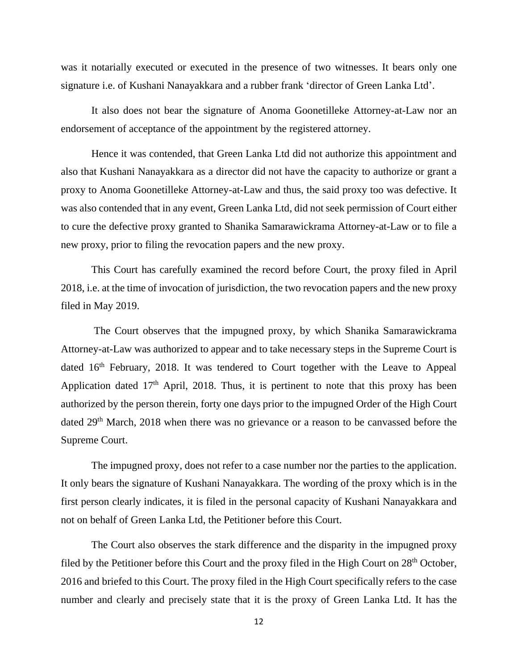was it notarially executed or executed in the presence of two witnesses. It bears only one signature i.e. of Kushani Nanayakkara and a rubber frank 'director of Green Lanka Ltd'.

It also does not bear the signature of Anoma Goonetilleke Attorney-at-Law nor an endorsement of acceptance of the appointment by the registered attorney.

Hence it was contended, that Green Lanka Ltd did not authorize this appointment and also that Kushani Nanayakkara as a director did not have the capacity to authorize or grant a proxy to Anoma Goonetilleke Attorney-at-Law and thus, the said proxy too was defective. It was also contended that in any event, Green Lanka Ltd, did not seek permission of Court either to cure the defective proxy granted to Shanika Samarawickrama Attorney-at-Law or to file a new proxy, prior to filing the revocation papers and the new proxy.

This Court has carefully examined the record before Court, the proxy filed in April 2018, i.e. at the time of invocation of jurisdiction, the two revocation papers and the new proxy filed in May 2019.

The Court observes that the impugned proxy, by which Shanika Samarawickrama Attorney-at-Law was authorized to appear and to take necessary steps in the Supreme Court is dated 16<sup>th</sup> February, 2018. It was tendered to Court together with the Leave to Appeal Application dated  $17<sup>th</sup>$  April, 2018. Thus, it is pertinent to note that this proxy has been authorized by the person therein, forty one days prior to the impugned Order of the High Court dated 29<sup>th</sup> March, 2018 when there was no grievance or a reason to be canvassed before the Supreme Court.

The impugned proxy, does not refer to a case number nor the parties to the application. It only bears the signature of Kushani Nanayakkara. The wording of the proxy which is in the first person clearly indicates, it is filed in the personal capacity of Kushani Nanayakkara and not on behalf of Green Lanka Ltd, the Petitioner before this Court.

The Court also observes the stark difference and the disparity in the impugned proxy filed by the Petitioner before this Court and the proxy filed in the High Court on  $28<sup>th</sup>$  October, 2016 and briefed to this Court. The proxy filed in the High Court specifically refers to the case number and clearly and precisely state that it is the proxy of Green Lanka Ltd. It has the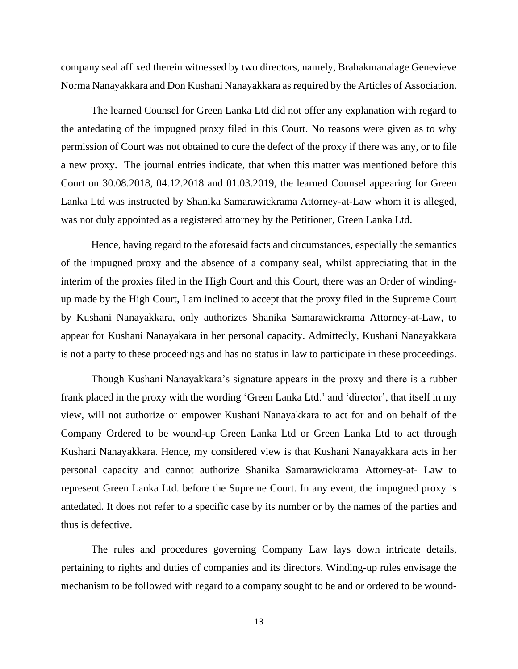company seal affixed therein witnessed by two directors, namely, Brahakmanalage Genevieve Norma Nanayakkara and Don Kushani Nanayakkara as required by the Articles of Association.

The learned Counsel for Green Lanka Ltd did not offer any explanation with regard to the antedating of the impugned proxy filed in this Court. No reasons were given as to why permission of Court was not obtained to cure the defect of the proxy if there was any, or to file a new proxy. The journal entries indicate, that when this matter was mentioned before this Court on 30.08.2018, 04.12.2018 and 01.03.2019, the learned Counsel appearing for Green Lanka Ltd was instructed by Shanika Samarawickrama Attorney-at-Law whom it is alleged, was not duly appointed as a registered attorney by the Petitioner, Green Lanka Ltd.

Hence, having regard to the aforesaid facts and circumstances, especially the semantics of the impugned proxy and the absence of a company seal, whilst appreciating that in the interim of the proxies filed in the High Court and this Court, there was an Order of windingup made by the High Court, I am inclined to accept that the proxy filed in the Supreme Court by Kushani Nanayakkara, only authorizes Shanika Samarawickrama Attorney-at-Law, to appear for Kushani Nanayakara in her personal capacity. Admittedly, Kushani Nanayakkara is not a party to these proceedings and has no status in law to participate in these proceedings.

Though Kushani Nanayakkara's signature appears in the proxy and there is a rubber frank placed in the proxy with the wording 'Green Lanka Ltd.' and 'director', that itself in my view, will not authorize or empower Kushani Nanayakkara to act for and on behalf of the Company Ordered to be wound-up Green Lanka Ltd or Green Lanka Ltd to act through Kushani Nanayakkara. Hence, my considered view is that Kushani Nanayakkara acts in her personal capacity and cannot authorize Shanika Samarawickrama Attorney-at- Law to represent Green Lanka Ltd. before the Supreme Court. In any event, the impugned proxy is antedated. It does not refer to a specific case by its number or by the names of the parties and thus is defective.

The rules and procedures governing Company Law lays down intricate details, pertaining to rights and duties of companies and its directors. Winding-up rules envisage the mechanism to be followed with regard to a company sought to be and or ordered to be wound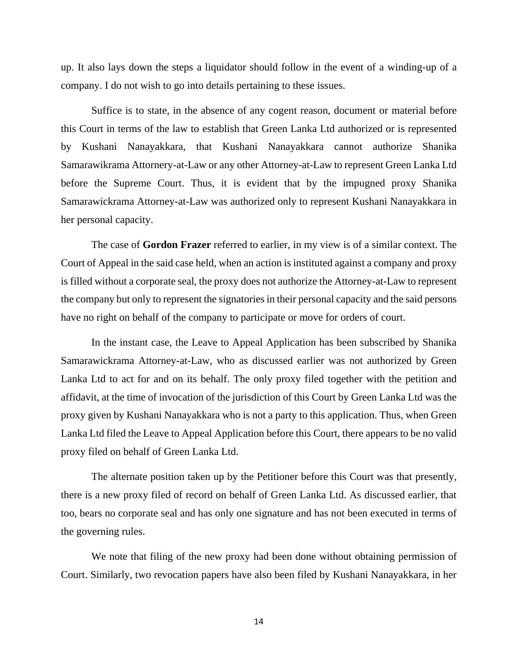up. It also lays down the steps a liquidator should follow in the event of a winding-up of a company. I do not wish to go into details pertaining to these issues.

Suffice is to state, in the absence of any cogent reason, document or material before this Court in terms of the law to establish that Green Lanka Ltd authorized or is represented by Kushani Nanayakkara, that Kushani Nanayakkara cannot authorize Shanika Samarawikrama Attornery-at-Law or any other Attorney-at-Law to represent Green Lanka Ltd before the Supreme Court. Thus, it is evident that by the impugned proxy Shanika Samarawickrama Attorney-at-Law was authorized only to represent Kushani Nanayakkara in her personal capacity.

The case of **Gordon Frazer** referred to earlier, in my view is of a similar context. The Court of Appeal in the said case held, when an action is instituted against a company and proxy is filled without a corporate seal, the proxy does not authorize the Attorney-at-Law to represent the company but only to represent the signatoriesin their personal capacity and the said persons have no right on behalf of the company to participate or move for orders of court.

In the instant case, the Leave to Appeal Application has been subscribed by Shanika Samarawickrama Attorney-at-Law, who as discussed earlier was not authorized by Green Lanka Ltd to act for and on its behalf. The only proxy filed together with the petition and affidavit, at the time of invocation of the jurisdiction of this Court by Green Lanka Ltd was the proxy given by Kushani Nanayakkara who is not a party to this application. Thus, when Green Lanka Ltd filed the Leave to Appeal Application before this Court, there appears to be no valid proxy filed on behalf of Green Lanka Ltd.

The alternate position taken up by the Petitioner before this Court was that presently, there is a new proxy filed of record on behalf of Green Lanka Ltd. As discussed earlier, that too, bears no corporate seal and has only one signature and has not been executed in terms of the governing rules.

We note that filing of the new proxy had been done without obtaining permission of Court. Similarly, two revocation papers have also been filed by Kushani Nanayakkara, in her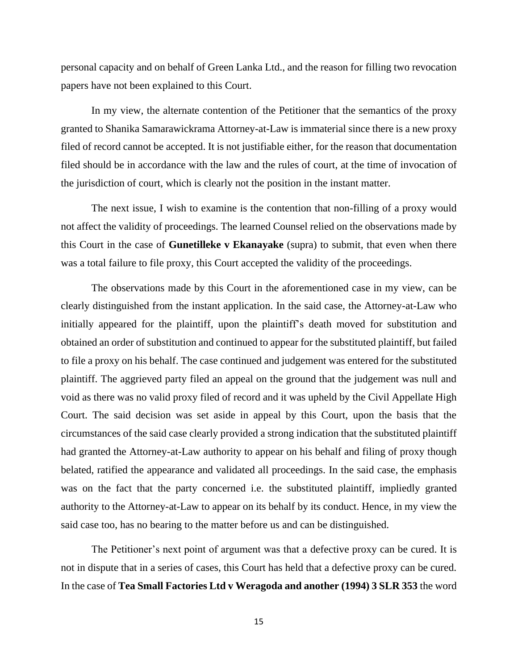personal capacity and on behalf of Green Lanka Ltd., and the reason for filling two revocation papers have not been explained to this Court.

In my view, the alternate contention of the Petitioner that the semantics of the proxy granted to Shanika Samarawickrama Attorney-at-Law is immaterial since there is a new proxy filed of record cannot be accepted. It is not justifiable either, for the reason that documentation filed should be in accordance with the law and the rules of court, at the time of invocation of the jurisdiction of court, which is clearly not the position in the instant matter.

The next issue, I wish to examine is the contention that non-filling of a proxy would not affect the validity of proceedings. The learned Counsel relied on the observations made by this Court in the case of **Gunetilleke v Ekanayake** (supra) to submit, that even when there was a total failure to file proxy, this Court accepted the validity of the proceedings.

The observations made by this Court in the aforementioned case in my view, can be clearly distinguished from the instant application. In the said case, the Attorney-at-Law who initially appeared for the plaintiff, upon the plaintiff's death moved for substitution and obtained an order of substitution and continued to appear for the substituted plaintiff, but failed to file a proxy on his behalf. The case continued and judgement was entered for the substituted plaintiff. The aggrieved party filed an appeal on the ground that the judgement was null and void as there was no valid proxy filed of record and it was upheld by the Civil Appellate High Court. The said decision was set aside in appeal by this Court, upon the basis that the circumstances of the said case clearly provided a strong indication that the substituted plaintiff had granted the Attorney-at-Law authority to appear on his behalf and filing of proxy though belated, ratified the appearance and validated all proceedings. In the said case, the emphasis was on the fact that the party concerned i.e. the substituted plaintiff, impliedly granted authority to the Attorney-at-Law to appear on its behalf by its conduct. Hence, in my view the said case too, has no bearing to the matter before us and can be distinguished.

The Petitioner's next point of argument was that a defective proxy can be cured. It is not in dispute that in a series of cases, this Court has held that a defective proxy can be cured. In the case of **Tea Small Factories Ltd v Weragoda and another (1994) 3 SLR 353** the word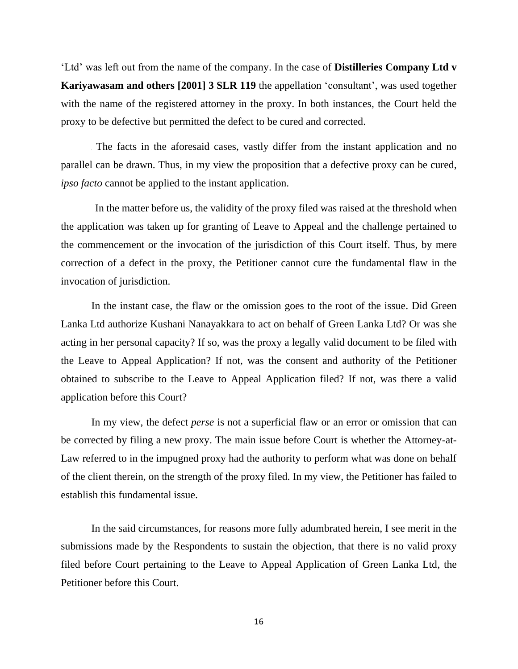'Ltd' was left out from the name of the company. In the case of **Distilleries Company Ltd v Kariyawasam and others [2001] 3 SLR 119** the appellation 'consultant', was used together with the name of the registered attorney in the proxy. In both instances, the Court held the proxy to be defective but permitted the defect to be cured and corrected.

The facts in the aforesaid cases, vastly differ from the instant application and no parallel can be drawn. Thus, in my view the proposition that a defective proxy can be cured, *ipso facto* cannot be applied to the instant application.

In the matter before us, the validity of the proxy filed was raised at the threshold when the application was taken up for granting of Leave to Appeal and the challenge pertained to the commencement or the invocation of the jurisdiction of this Court itself. Thus, by mere correction of a defect in the proxy, the Petitioner cannot cure the fundamental flaw in the invocation of jurisdiction.

In the instant case, the flaw or the omission goes to the root of the issue. Did Green Lanka Ltd authorize Kushani Nanayakkara to act on behalf of Green Lanka Ltd? Or was she acting in her personal capacity? If so, was the proxy a legally valid document to be filed with the Leave to Appeal Application? If not, was the consent and authority of the Petitioner obtained to subscribe to the Leave to Appeal Application filed? If not, was there a valid application before this Court?

In my view, the defect *perse* is not a superficial flaw or an error or omission that can be corrected by filing a new proxy. The main issue before Court is whether the Attorney-at-Law referred to in the impugned proxy had the authority to perform what was done on behalf of the client therein, on the strength of the proxy filed. In my view, the Petitioner has failed to establish this fundamental issue.

In the said circumstances, for reasons more fully adumbrated herein, I see merit in the submissions made by the Respondents to sustain the objection, that there is no valid proxy filed before Court pertaining to the Leave to Appeal Application of Green Lanka Ltd, the Petitioner before this Court.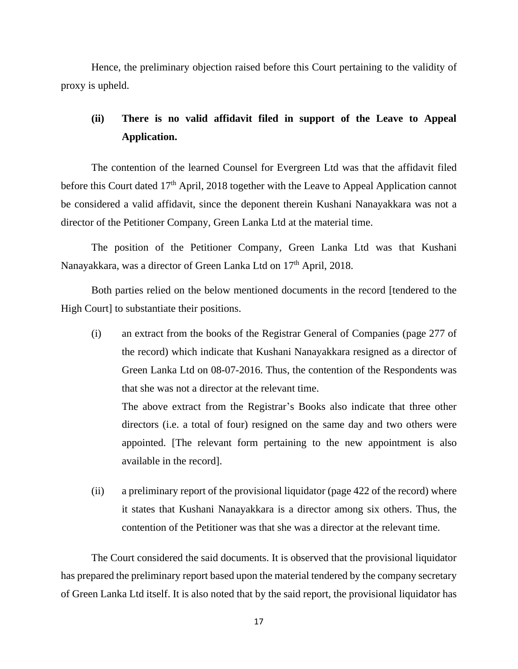Hence, the preliminary objection raised before this Court pertaining to the validity of proxy is upheld.

# **(ii) There is no valid affidavit filed in support of the Leave to Appeal Application.**

The contention of the learned Counsel for Evergreen Ltd was that the affidavit filed before this Court dated 17<sup>th</sup> April, 2018 together with the Leave to Appeal Application cannot be considered a valid affidavit, since the deponent therein Kushani Nanayakkara was not a director of the Petitioner Company, Green Lanka Ltd at the material time.

The position of the Petitioner Company, Green Lanka Ltd was that Kushani Nanayakkara, was a director of Green Lanka Ltd on 17<sup>th</sup> April, 2018.

Both parties relied on the below mentioned documents in the record [tendered to the High Court] to substantiate their positions.

(i) an extract from the books of the Registrar General of Companies (page 277 of the record) which indicate that Kushani Nanayakkara resigned as a director of Green Lanka Ltd on 08-07-2016. Thus, the contention of the Respondents was that she was not a director at the relevant time. The above extract from the Registrar's Books also indicate that three other

directors (i.e. a total of four) resigned on the same day and two others were appointed. [The relevant form pertaining to the new appointment is also available in the record].

(ii) a preliminary report of the provisional liquidator (page 422 of the record) where it states that Kushani Nanayakkara is a director among six others. Thus, the contention of the Petitioner was that she was a director at the relevant time.

The Court considered the said documents. It is observed that the provisional liquidator has prepared the preliminary report based upon the material tendered by the company secretary of Green Lanka Ltd itself. It is also noted that by the said report, the provisional liquidator has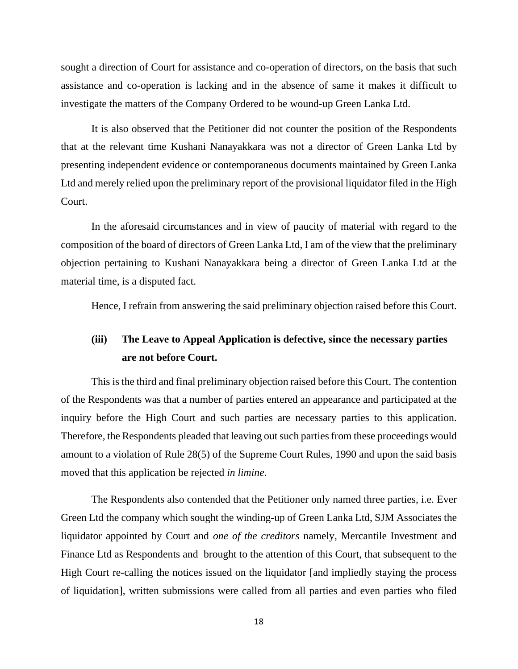sought a direction of Court for assistance and co-operation of directors, on the basis that such assistance and co-operation is lacking and in the absence of same it makes it difficult to investigate the matters of the Company Ordered to be wound-up Green Lanka Ltd.

It is also observed that the Petitioner did not counter the position of the Respondents that at the relevant time Kushani Nanayakkara was not a director of Green Lanka Ltd by presenting independent evidence or contemporaneous documents maintained by Green Lanka Ltd and merely relied upon the preliminary report of the provisional liquidator filed in the High Court.

In the aforesaid circumstances and in view of paucity of material with regard to the composition of the board of directors of Green Lanka Ltd, I am of the view that the preliminary objection pertaining to Kushani Nanayakkara being a director of Green Lanka Ltd at the material time, is a disputed fact.

Hence, I refrain from answering the said preliminary objection raised before this Court.

# **(iii) The Leave to Appeal Application is defective, since the necessary parties are not before Court.**

This is the third and final preliminary objection raised before this Court. The contention of the Respondents was that a number of parties entered an appearance and participated at the inquiry before the High Court and such parties are necessary parties to this application. Therefore, the Respondents pleaded that leaving out such parties from these proceedings would amount to a violation of Rule 28(5) of the Supreme Court Rules, 1990 and upon the said basis moved that this application be rejected *in limine.*

The Respondents also contended that the Petitioner only named three parties, i.e. Ever Green Ltd the company which sought the winding-up of Green Lanka Ltd, SJM Associates the liquidator appointed by Court and *one of the creditors* namely, Mercantile Investment and Finance Ltd as Respondents and brought to the attention of this Court, that subsequent to the High Court re-calling the notices issued on the liquidator [and impliedly staying the process of liquidation], written submissions were called from all parties and even parties who filed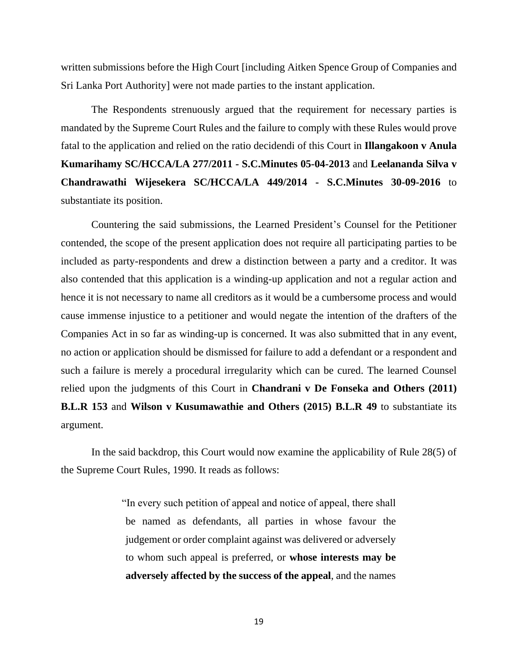written submissions before the High Court [including Aitken Spence Group of Companies and Sri Lanka Port Authority] were not made parties to the instant application.

The Respondents strenuously argued that the requirement for necessary parties is mandated by the Supreme Court Rules and the failure to comply with these Rules would prove fatal to the application and relied on the ratio decidendi of this Court in **Illangakoon v Anula Kumarihamy SC/HCCA/LA 277/2011 - S.C.Minutes 05-04-2013** and **Leelananda Silva v Chandrawathi Wijesekera SC/HCCA/LA 449/2014 - S.C.Minutes 30-09-2016** to substantiate its position.

Countering the said submissions, the Learned President's Counsel for the Petitioner contended, the scope of the present application does not require all participating parties to be included as party-respondents and drew a distinction between a party and a creditor. It was also contended that this application is a winding-up application and not a regular action and hence it is not necessary to name all creditors as it would be a cumbersome process and would cause immense injustice to a petitioner and would negate the intention of the drafters of the Companies Act in so far as winding-up is concerned. It was also submitted that in any event, no action or application should be dismissed for failure to add a defendant or a respondent and such a failure is merely a procedural irregularity which can be cured. The learned Counsel relied upon the judgments of this Court in **Chandrani v De Fonseka and Others (2011) B.L.R 153** and **Wilson v Kusumawathie and Others (2015) B.L.R 49** to substantiate its argument.

In the said backdrop, this Court would now examine the applicability of Rule 28(5) of the Supreme Court Rules, 1990. It reads as follows:

> "In every such petition of appeal and notice of appeal, there shall be named as defendants, all parties in whose favour the judgement or order complaint against was delivered or adversely to whom such appeal is preferred, or **whose interests may be adversely affected by the success of the appeal**, and the names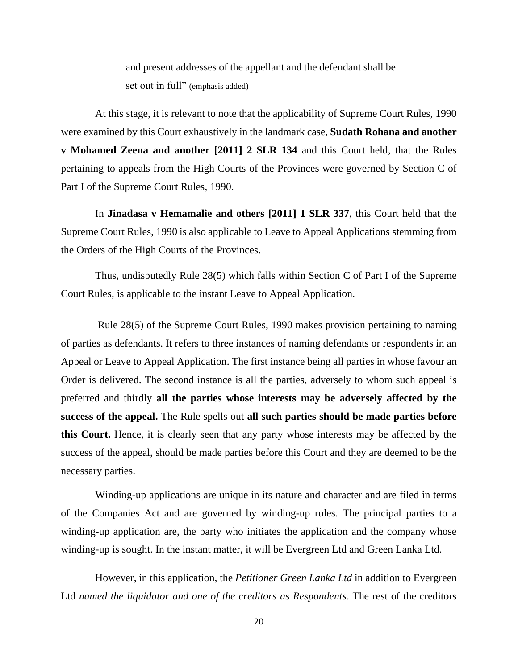and present addresses of the appellant and the defendant shall be set out in full" (emphasis added)

At this stage, it is relevant to note that the applicability of Supreme Court Rules, 1990 were examined by this Court exhaustively in the landmark case, **Sudath Rohana and another v Mohamed Zeena and another [2011] 2 SLR 134** and this Court held, that the Rules pertaining to appeals from the High Courts of the Provinces were governed by Section C of Part I of the Supreme Court Rules, 1990.

In **Jinadasa v Hemamalie and others [2011] 1 SLR 337**, this Court held that the Supreme Court Rules, 1990 is also applicable to Leave to Appeal Applications stemming from the Orders of the High Courts of the Provinces.

Thus, undisputedly Rule 28(5) which falls within Section C of Part I of the Supreme Court Rules, is applicable to the instant Leave to Appeal Application.

Rule 28(5) of the Supreme Court Rules, 1990 makes provision pertaining to naming of parties as defendants. It refers to three instances of naming defendants or respondents in an Appeal or Leave to Appeal Application. The first instance being all parties in whose favour an Order is delivered. The second instance is all the parties, adversely to whom such appeal is preferred and thirdly **all the parties whose interests may be adversely affected by the success of the appeal.** The Rule spells out **all such parties should be made parties before this Court.** Hence, it is clearly seen that any party whose interests may be affected by the success of the appeal, should be made parties before this Court and they are deemed to be the necessary parties.

Winding-up applications are unique in its nature and character and are filed in terms of the Companies Act and are governed by winding-up rules. The principal parties to a winding-up application are, the party who initiates the application and the company whose winding-up is sought. In the instant matter, it will be Evergreen Ltd and Green Lanka Ltd.

However, in this application, the *Petitioner Green Lanka Ltd* in addition to Evergreen Ltd *named the liquidator and one of the creditors as Respondents*. The rest of the creditors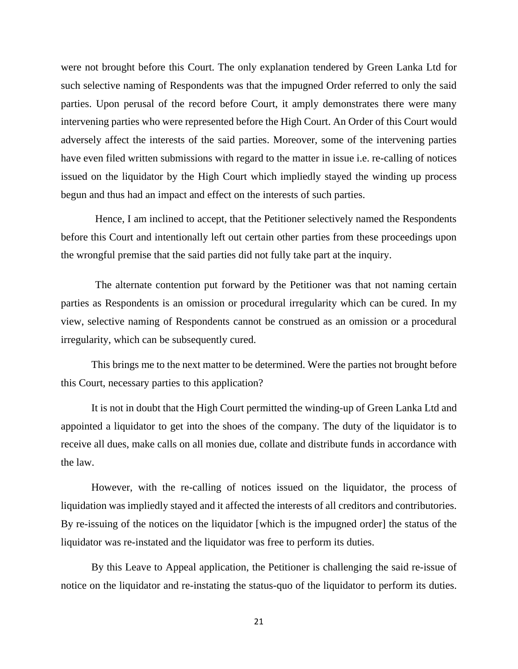were not brought before this Court. The only explanation tendered by Green Lanka Ltd for such selective naming of Respondents was that the impugned Order referred to only the said parties. Upon perusal of the record before Court, it amply demonstrates there were many intervening parties who were represented before the High Court. An Order of this Court would adversely affect the interests of the said parties. Moreover, some of the intervening parties have even filed written submissions with regard to the matter in issue i.e. re-calling of notices issued on the liquidator by the High Court which impliedly stayed the winding up process begun and thus had an impact and effect on the interests of such parties.

Hence, I am inclined to accept, that the Petitioner selectively named the Respondents before this Court and intentionally left out certain other parties from these proceedings upon the wrongful premise that the said parties did not fully take part at the inquiry.

The alternate contention put forward by the Petitioner was that not naming certain parties as Respondents is an omission or procedural irregularity which can be cured. In my view, selective naming of Respondents cannot be construed as an omission or a procedural irregularity, which can be subsequently cured.

This brings me to the next matter to be determined. Were the parties not brought before this Court, necessary parties to this application?

It is not in doubt that the High Court permitted the winding-up of Green Lanka Ltd and appointed a liquidator to get into the shoes of the company. The duty of the liquidator is to receive all dues, make calls on all monies due, collate and distribute funds in accordance with the law.

However, with the re-calling of notices issued on the liquidator, the process of liquidation was impliedly stayed and it affected the interests of all creditors and contributories. By re-issuing of the notices on the liquidator [which is the impugned order] the status of the liquidator was re-instated and the liquidator was free to perform its duties.

By this Leave to Appeal application, the Petitioner is challenging the said re-issue of notice on the liquidator and re-instating the status-quo of the liquidator to perform its duties.

21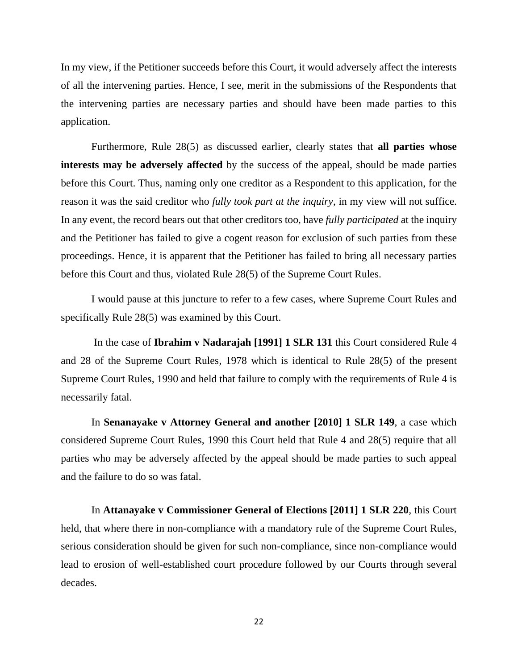In my view, if the Petitioner succeeds before this Court, it would adversely affect the interests of all the intervening parties. Hence, I see, merit in the submissions of the Respondents that the intervening parties are necessary parties and should have been made parties to this application.

Furthermore, Rule 28(5) as discussed earlier, clearly states that **all parties whose interests may be adversely affected** by the success of the appeal, should be made parties before this Court. Thus, naming only one creditor as a Respondent to this application, for the reason it was the said creditor who *fully took part at the inquiry*, in my view will not suffice. In any event, the record bears out that other creditors too, have *fully participated* at the inquiry and the Petitioner has failed to give a cogent reason for exclusion of such parties from these proceedings. Hence, it is apparent that the Petitioner has failed to bring all necessary parties before this Court and thus, violated Rule 28(5) of the Supreme Court Rules.

I would pause at this juncture to refer to a few cases, where Supreme Court Rules and specifically Rule 28(5) was examined by this Court.

In the case of **Ibrahim v Nadarajah [1991] 1 SLR 131** this Court considered Rule 4 and 28 of the Supreme Court Rules, 1978 which is identical to Rule 28(5) of the present Supreme Court Rules, 1990 and held that failure to comply with the requirements of Rule 4 is necessarily fatal.

In **Senanayake v Attorney General and another [2010] 1 SLR 149**, a case which considered Supreme Court Rules, 1990 this Court held that Rule 4 and 28(5) require that all parties who may be adversely affected by the appeal should be made parties to such appeal and the failure to do so was fatal.

In **Attanayake v Commissioner General of Elections [2011] 1 SLR 220**, this Court held, that where there in non-compliance with a mandatory rule of the Supreme Court Rules, serious consideration should be given for such non-compliance, since non-compliance would lead to erosion of well-established court procedure followed by our Courts through several decades.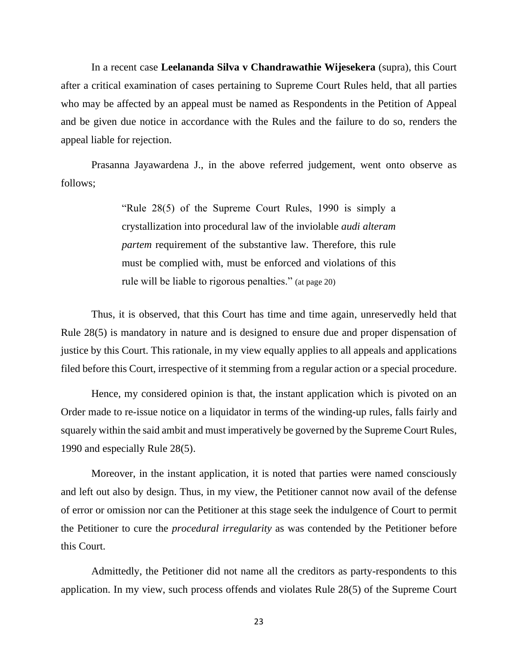In a recent case **Leelananda Silva v Chandrawathie Wijesekera** (supra), this Court after a critical examination of cases pertaining to Supreme Court Rules held, that all parties who may be affected by an appeal must be named as Respondents in the Petition of Appeal and be given due notice in accordance with the Rules and the failure to do so, renders the appeal liable for rejection.

Prasanna Jayawardena J., in the above referred judgement, went onto observe as follows;

> "Rule 28(5) of the Supreme Court Rules, 1990 is simply a crystallization into procedural law of the inviolable *audi alteram partem* requirement of the substantive law. Therefore, this rule must be complied with, must be enforced and violations of this rule will be liable to rigorous penalties." (at page 20)

Thus, it is observed, that this Court has time and time again, unreservedly held that Rule 28(5) is mandatory in nature and is designed to ensure due and proper dispensation of justice by this Court. This rationale, in my view equally applies to all appeals and applications filed before this Court, irrespective of it stemming from a regular action or a special procedure.

Hence, my considered opinion is that, the instant application which is pivoted on an Order made to re-issue notice on a liquidator in terms of the winding-up rules, falls fairly and squarely within the said ambit and must imperatively be governed by the Supreme Court Rules, 1990 and especially Rule 28(5).

Moreover, in the instant application, it is noted that parties were named consciously and left out also by design. Thus, in my view, the Petitioner cannot now avail of the defense of error or omission nor can the Petitioner at this stage seek the indulgence of Court to permit the Petitioner to cure the *procedural irregularity* as was contended by the Petitioner before this Court.

Admittedly, the Petitioner did not name all the creditors as party-respondents to this application. In my view, such process offends and violates Rule 28(5) of the Supreme Court